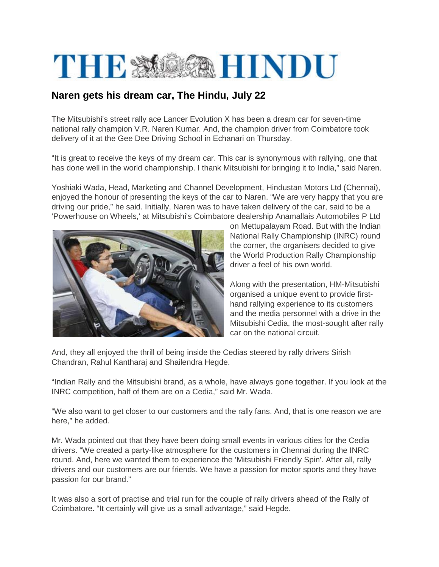

## **Naren gets his dream car, The Hindu, July 22**

The Mitsubishi's street rally ace Lancer Evolution X has been a dream car for seven-time national rally champion V.R. Naren Kumar. And, the champion driver from Coimbatore took delivery of it at the Gee Dee Driving School in Echanari on Thursday.

"It is great to receive the keys of my dream car. This car is synonymous with rallying, one that has done well in the world championship. I thank Mitsubishi for bringing it to India," said Naren.

Yoshiaki Wada, Head, Marketing and Channel Development, Hindustan Motors Ltd (Chennai), enjoyed the honour of presenting the keys of the car to Naren. "We are very happy that you are driving our pride," he said. Initially, Naren was to have taken delivery of the car, said to be a 'Powerhouse on Wheels,' at Mitsubishi's Coimbatore dealership Anamallais Automobiles P Ltd



on Mettupalayam Road. But with the Indian National Rally Championship (INRC) round the corner, the organisers decided to give the World Production Rally Championship driver a feel of his own world.

Along with the presentation, HM-Mitsubishi organised a unique event to provide firsthand rallying experience to its customers and the media personnel with a drive in the Mitsubishi Cedia, the most-sought after rally car on the national circuit.

And, they all enjoyed the thrill of being inside the Cedias steered by rally drivers Sirish Chandran, Rahul Kantharaj and Shailendra Hegde.

"Indian Rally and the Mitsubishi brand, as a whole, have always gone together. If you look at the INRC competition, half of them are on a Cedia," said Mr. Wada.

"We also want to get closer to our customers and the rally fans. And, that is one reason we are here," he added.

Mr. Wada pointed out that they have been doing small events in various cities for the Cedia drivers. "We created a party-like atmosphere for the customers in Chennai during the INRC round. And, here we wanted them to experience the 'Mitsubishi Friendly Spin'. After all, rally drivers and our customers are our friends. We have a passion for motor sports and they have passion for our brand."

It was also a sort of practise and trial run for the couple of rally drivers ahead of the Rally of Coimbatore. "It certainly will give us a small advantage," said Hegde.